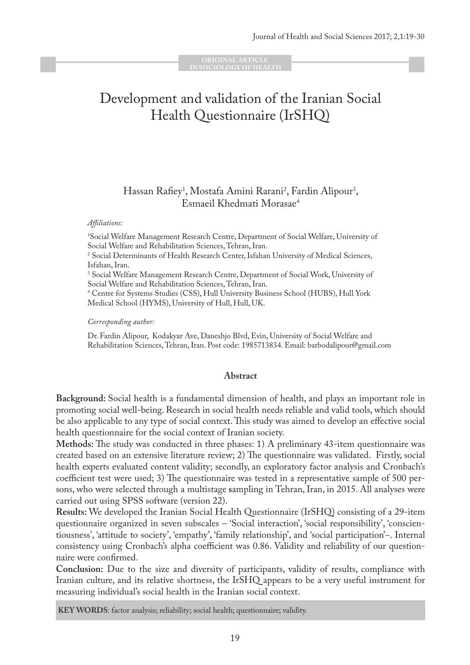**ORIGINAL ARTICLE IN SOCIOLOGY OF HEALTH** 

# Development and validation of the Iranian Social Health Questionnaire (IrSHQ)

## Hassan Rafiey<sup>1</sup>, Mostafa Amini Rarani<sup>2</sup>, Fardin Alipour<sup>3</sup>, Esmaeil Khedmati Morasae4

#### *Affiliations:*

1 Social Welfare Management Research Centre, Department of Social Welfare, University of Social Welfare and Rehabilitation Sciences, Tehran, Iran.

2 Social Determinants of Health Research Center, Isfahan University of Medical Sciences, Isfahan, Iran.

3 Social Welfare Management Research Centre, Department of Social Work, University of Social Welfare and Rehabilitation Sciences, Tehran, Iran.

4 Centre for Systems Studies (CSS), Hull University Business School (HUBS), Hull York Medical School (HYMS), University of Hull, Hull, UK.

*Corresponding author:*

Dr. Fardin Alipour, Kodakyar Ave, Daneshjo Blvd, Evin, University of Social Welfare and Rehabilitation Sciences, Tehran, Iran. Post code: 1985713834. Email: barbodalipour@gmail.com

#### **Abstract**

**Background:** Social health is a fundamental dimension of health, and plays an important role in promoting social well-being. Research in social health needs reliable and valid tools, which should be also applicable to any type of social context. This study was aimed to develop an effective social health questionnaire for the social context of Iranian society.

**Methods:** The study was conducted in three phases: 1) A preliminary 43-item questionnaire was created based on an extensive literature review; 2) The questionnaire was validated. Firstly, social health experts evaluated content validity; secondly, an exploratory factor analysis and Cronbach's coefficient test were used; 3) The questionnaire was tested in a representative sample of 500 persons, who were selected through a multistage **s**ampling in Tehran, Iran, in 2015. All analyses were carried out using SPSS software (version 22).

**Results:** We developed the Iranian Social Health Questionnaire (IrSHQ) consisting of a 29-item questionnaire organized in seven subscales – 'Social interaction', 'social responsibility', 'conscientiousness', 'attitude to society', 'empathy', 'family relationship', and 'social participation'−. Internal consistency using Cronbach's alpha coefficient was 0.86. Validity and reliability of our questionnaire were confirmed.

**Conclusion:** Due to the size and diversity of participants, validity of results, compliance with Iranian culture, and its relative shortness, the IrSHQ appears to be a very useful instrument for measuring individual's social health in the Iranian social context.

**KEY WORDS**: factor analysis; reliability; social health; questionnaire; validity.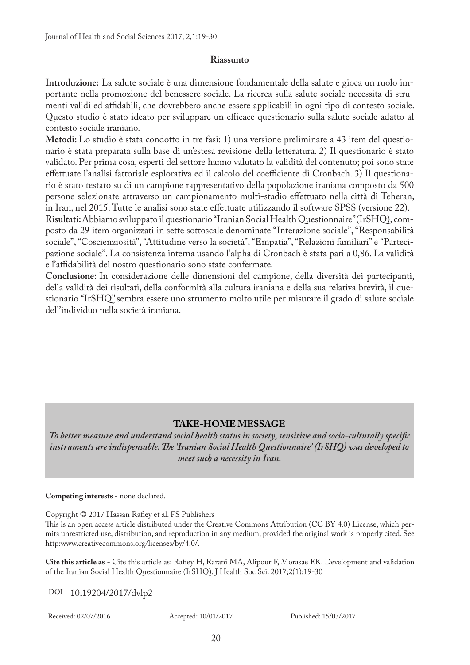#### **Riassunto**

**Introduzione:** La salute sociale è una dimensione fondamentale della salute e gioca un ruolo importante nella promozione del benessere sociale. La ricerca sulla salute sociale necessita di strumenti validi ed affidabili, che dovrebbero anche essere applicabili in ogni tipo di contesto sociale. Questo studio è stato ideato per sviluppare un efficace questionario sulla salute sociale adatto al contesto sociale iraniano.

**Metodi:** Lo studio è stata condotto in tre fasi: 1) una versione preliminare a 43 item del questionario è stata preparata sulla base di un'estesa revisione della letteratura. 2) Il questionario è stato validato. Per prima cosa, esperti del settore hanno valutato la validità del contenuto; poi sono state effettuate l'analisi fattoriale esplorativa ed il calcolo del coefficiente di Cronbach. 3) Il questionario è stato testato su di un campione rappresentativo della popolazione iraniana composto da 500 persone selezionate attraverso un campionamento multi-stadio effettuato nella città di Teheran, in Iran, nel 2015. Tutte le analisi sono state effettuate utilizzando il software SPSS (versione 22).

**Risultati:** Abbiamo sviluppato il questionario "Iranian Social Health Questionnaire" (IrSHQ), composto da 29 item organizzati in sette sottoscale denominate "Interazione sociale", "Responsabilità sociale", "Coscienziosità", "Attitudine verso la società", "Empatia", "Relazioni familiari" e "Partecipazione sociale". La consistenza interna usando l'alpha di Cronbach è stata pari a 0,86. La validità e l'affidabilità del nostro questionario sono state confermate.

**Conclusione:** In considerazione delle dimensioni del campione, della diversità dei partecipanti, della validità dei risultati, della conformità alla cultura iraniana e della sua relativa brevità, il questionario "IrSHQ" sembra essere uno strumento molto utile per misurare il grado di salute sociale dell'individuo nella società iraniana.

## **TAKE-HOME MESSAGE**

*To better measure and understand social health status in society, sensitive and socio-culturally specific instruments are indispensable. The 'Iranian Social Health Questionnaire' (IrSHQ) was developed to meet such a necessity in Iran.* 

#### **Competing interests** - none declared.

Copyright © 2017 Hassan Rafiey et al. FS Publishers

This is an open access article distributed under the Creative Commons Attribution (CC BY 4.0) License, which permits unrestricted use, distribution, and reproduction in any medium, provided the original work is properly cited. See http:www.creativecommons.org/licenses/by/4.0/.

**Cite this article as** - Cite this article as: Rafiey H, Rarani MA, Alipour F, Morasae EK. Development and validation of the Iranian Social Health Questionnaire (IrSHQ). J Health Soc Sci. 2017;2(1):19-30

DOI 10.19204/2017/dvlp2

Received: 02/07/2016 Accepted: 10/01/2017 Published: 15/03/2017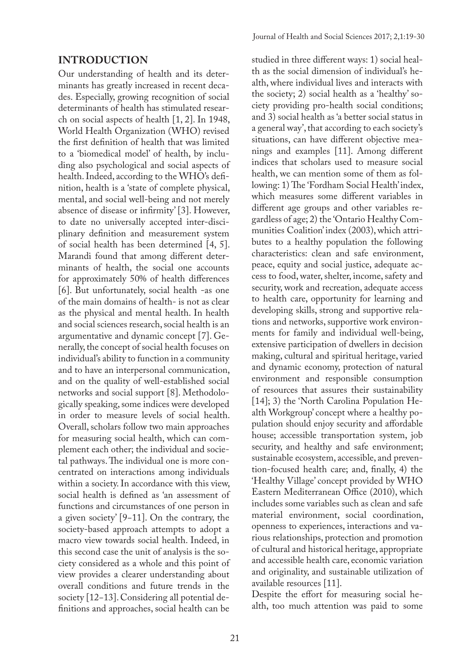#### **INTRODUCTION**

Our understanding of health and its determinants has greatly increased in recent decades. Especially, growing recognition of social determinants of health has stimulated research on social aspects of health [1, 2]. In 1948, World Health Organization (WHO) revised the first definition of health that was limited to a 'biomedical model' of health, by including also psychological and social aspects of health. Indeed, according to the WHO's definition, health is a 'state of complete physical, mental, and social well-being and not merely absence of disease or infirmity' [3]. However, to date no universally accepted inter-disciplinary definition and measurement system of social health has been determined [4, 5]. Marandi found that among different determinants of health, the social one accounts for approximately 50% of health differences [6]. But unfortunately, social health -as one of the main domains of health- is not as clear as the physical and mental health. In health and social sciences research, social health is an argumentative and dynamic concept [7]. Generally, the concept of social health focuses on individual's ability to function in a community and to have an interpersonal communication, and on the quality of well-established social networks and social support [8]. Methodologically speaking, some indices were developed in order to measure levels of social health. Overall, scholars follow two main approaches for measuring social health, which can complement each other; the individual and societal pathways. The individual one is more concentrated on interactions among individuals within a society. In accordance with this view, social health is defined as 'an assessment of functions and circumstances of one person in a given society' [9−11]. On the contrary, the society-based approach attempts to adopt a macro view towards social health. Indeed, in this second case the unit of analysis is the society considered as a whole and this point of view provides a clearer understanding about overall conditions and future trends in the society [12−13]. Considering all potential definitions and approaches, social health can be

studied in three different ways: 1) social health as the social dimension of individual's health, where individual lives and interacts with the society; 2) social health as a 'healthy' society providing pro-health social conditions; and 3) social health as 'a better social status in a general way', that according to each society's situations, can have different objective meanings and examples [11]. Among different indices that scholars used to measure social health, we can mention some of them as following: 1) The 'Fordham Social Health' index, which measures some different variables in different age groups and other variables regardless of age; 2) the 'Ontario Healthy Communities Coalition' index (2003), which attributes to a healthy population the following characteristics: clean and safe environment, peace, equity and social justice, adequate access to food, water, shelter, income, safety and security, work and recreation, adequate access to health care, opportunity for learning and developing skills, strong and supportive relations and networks, supportive work environments for family and individual well-being, extensive participation of dwellers in decision making, cultural and spiritual heritage, varied and dynamic economy, protection of natural environment and responsible consumption of resources that assures their sustainability [14]; 3) the 'North Carolina Population Health Workgroup' concept where a healthy population should enjoy security and affordable house; accessible transportation system, job security, and healthy and safe environment; sustainable ecosystem, accessible, and prevention-focused health care; and, finally, 4) the 'Healthy Village' concept provided by WHO Eastern Mediterranean Office (2010), which includes some variables such as clean and safe material environment, social coordination, openness to experiences, interactions and various relationships, protection and promotion of cultural and historical heritage, appropriate and accessible health care, economic variation and originality, and sustainable utilization of available resources [11].

Despite the effort for measuring social health, too much attention was paid to some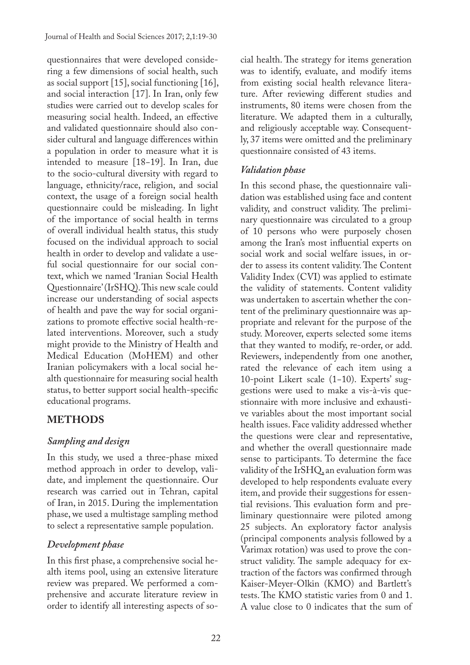questionnaires that were developed considering a few dimensions of social health, such as social support [15], social functioning [16], and social interaction [17]. In Iran, only few studies were carried out to develop scales for measuring social health. Indeed, an effective and validated questionnaire should also consider cultural and language differences within a population in order to measure what it is intended to measure [18−19]. In Iran, due to the socio-cultural diversity with regard to language, ethnicity/race, religion, and social context, the usage of a foreign social health questionnaire could be misleading. In light of the importance of social health in terms of overall individual health status, this study focused on the individual approach to social health in order to develop and validate a useful social questionnaire for our social context, which we named 'Iranian Social Health Questionnaire' (IrSHQ). This new scale could increase our understanding of social aspects of health and pave the way for social organizations to promote effective social health-related interventions. Moreover, such a study might provide to the Ministry of Health and Medical Education (MoHEM) and other Iranian policymakers with a local social health questionnaire for measuring social health status, to better support social health-specific educational programs.

# **METHODS**

# *Sampling and design*

In this study, we used a three-phase mixed method approach in order to develop, validate, and implement the questionnaire. Our research was carried out in Tehran, capital of Iran, in 2015. During the implementation phase, we used a multistage sampling method to select a representative sample population.

# *Development phase*

In this first phase, a comprehensive social health items pool, using an extensive literature review was prepared. We performed a comprehensive and accurate literature review in order to identify all interesting aspects of social health. The strategy for items generation was to identify, evaluate, and modify items from existing social health relevance literature. After reviewing different studies and instruments, 80 items were chosen from the literature. We adapted them in a culturally, and religiously acceptable way. Consequently, 37 items were omitted and the preliminary questionnaire consisted of 43 items.

# *Validation phase*

In this second phase, the questionnaire validation was established using face and content validity, and construct validity. The preliminary questionnaire was circulated to a group of 10 persons who were purposely chosen among the Iran's most influential experts on social work and social welfare issues, in order to assess its content validity. The Content Validity Index (CVI) was applied to estimate the validity of statements. Content validity was undertaken to ascertain whether the content of the preliminary questionnaire was appropriate and relevant for the purpose of the study. Moreover, experts selected some items that they wanted to modify, re-order, or add. Reviewers, independently from one another, rated the relevance of each item using a 10-point Likert scale (1−10). Experts' suggestions were used to make a vis-à-vis questionnaire with more inclusive and exhaustive variables about the most important social health issues. Face validity addressed whether the questions were clear and representative, and whether the overall questionnaire made sense to participants. To determine the face validity of the IrSHQ, an evaluation form was developed to help respondents evaluate every item, and provide their suggestions for essential revisions. This evaluation form and preliminary questionnaire were piloted among 25 subjects. An exploratory factor analysis (principal components analysis followed by a Varimax rotation) was used to prove the construct validity. The sample adequacy for extraction of the factors was confirmed through Kaiser-Meyer-Olkin (KMO) and Bartlett's tests. The KMO statistic varies from 0 and 1. A value close to 0 indicates that the sum of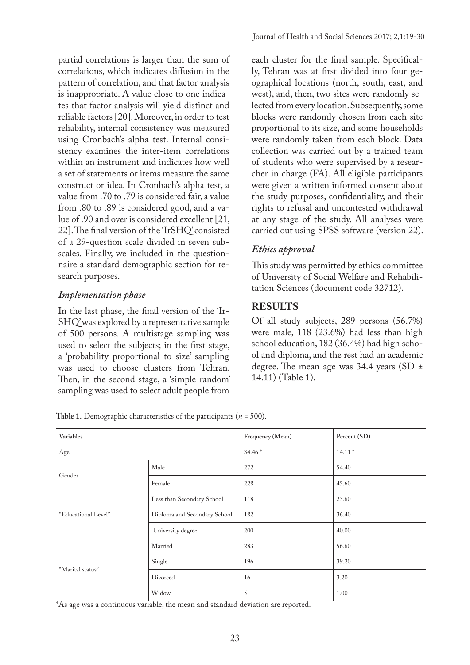partial correlations is larger than the sum of correlations, which indicates diffusion in the pattern of correlation, and that factor analysis is inappropriate. A value close to one indicates that factor analysis will yield distinct and reliable factors [20]. Moreover, in order to test reliability, internal consistency was measured using Cronbach's alpha test. Internal consistency examines the inter-item correlations within an instrument and indicates how well a set of statements or items measure the same construct or idea. In Cronbach's alpha test, a value from .70 to .79 is considered fair, a value from .80 to .89 is considered good, and a value of .90 and over is considered excellent [21, 22]. The final version of the 'IrSHQ' consisted of a 29-question scale divided in seven subscales. Finally, we included in the questionnaire a standard demographic section for research purposes.

### *Implementation phase*

In the last phase, the final version of the 'Ir-SHQ' was explored by a representative sample of 500 persons. A multistage sampling was used to select the subjects; in the first stage, a 'probability proportional to size' sampling was used to choose clusters from Tehran. Then, in the second stage, a 'simple random' sampling was used to select adult people from

each cluster for the final sample. Specifically, Tehran was at first divided into four geographical locations (north, south, east, and west), and, then, two sites were randomly selected from every location. Subsequently, some blocks were randomly chosen from each site proportional to its size, and some households were randomly taken from each block. Data collection was carried out by a trained team of students who were supervised by a researcher in charge (FA). All eligible participants were given a written informed consent about the study purposes, confidentiality, and their rights to refusal and uncontested withdrawal at any stage of the study. All analyses were carried out using SPSS software (version 22).

# *Ethics approval*

This study was permitted by ethics committee of University of Social Welfare and Rehabilitation Sciences (document code 32712).

# **RESULTS**

Of all study subjects, 289 persons (56.7%) were male, 118 (23.6%) had less than high school education, 182 (36.4%) had high school and diploma, and the rest had an academic degree. The mean age was 34.4 years (SD ± 14.11) (Table 1).

**Table 1.** Demographic characteristics of the participants (*n* = 500).

| Variables           |                              | Frequency (Mean) | Percent (SD) |
|---------------------|------------------------------|------------------|--------------|
| Age                 |                              | $34.46*$         | $14.11*$     |
| Gender              | Male                         | 272              | 54.40        |
|                     | Female                       | 228              | 45.60        |
| "Educational Level" | Less than Secondary School   | 118              | 23.60        |
|                     | Diploma and Secondary School | 182              | 36.40        |
|                     | University degree            | 200              | 40.00        |
|                     | Married                      | 283              | 56.60        |
| "Marital status"    | Single                       | 196              | 39.20        |
|                     | Divorced                     | 16               | 3.20         |
|                     | Widow                        | 5                | 1.00         |

\*As age was a continuous variable, the mean and standard deviation are reported.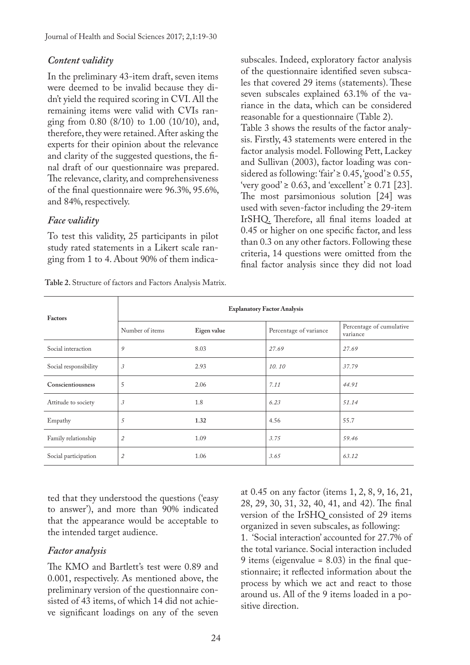## *Content validity*

In the preliminary 43-item draft, seven items were deemed to be invalid because they didn't yield the required scoring in CVI. All the remaining items were valid with CVIs ranging from 0.80 (8/10) to 1.00 (10/10), and, therefore, they were retained. After asking the experts for their opinion about the relevance and clarity of the suggested questions, the final draft of our questionnaire was prepared. The relevance, clarity, and comprehensiveness of the final questionnaire were 96.3%, 95.6%, and 84%, respectively.

## *Face validity*

To test this validity, 25 participants in pilot study rated statements in a Likert scale ranging from 1 to 4. About 90% of them indica-

**Table 2.** Structure of factors and Factors Analysis Matrix.

subscales. Indeed, exploratory factor analysis of the questionnaire identified seven subscales that covered 29 items (statements). These seven subscales explained 63.1% of the variance in the data, which can be considered reasonable for a questionnaire (Table 2). Table 3 shows the results of the factor analysis. Firstly, 43 statements were entered in the factor analysis model. Following Pett, Lackey and Sullivan (2003), factor loading was considered as following: 'fair' ≥ 0.45, 'good' ≥ 0.55, 'very good' ≥ 0.63, and 'excellent' ≥ 0.71 [23]. The most parsimonious solution [24] was used with seven-factor including the 29-item IrSHQ. Therefore, all final items loaded at 0.45 or higher on one specific factor, and less than 0.3 on any other factors. Following these criteria, 14 questions were omitted from the final factor analysis since they did not load

| <b>Factors</b>        | <b>Explanatory Factor Analysis</b> |             |                        |                                      |  |
|-----------------------|------------------------------------|-------------|------------------------|--------------------------------------|--|
|                       | Number of items                    | Eigen value | Percentage of variance | Percentage of cumulative<br>variance |  |
| Social interaction    | 9                                  | 8.03        | 27.69                  | 27.69                                |  |
| Social responsibility | 3                                  | 2.93        | 10.10                  | 37.79                                |  |
| Conscientiousness     | 5                                  | 2.06        | 7.11                   | 44.91                                |  |
| Attitude to society   | 3                                  | 1.8         | 6.23                   | 51.14                                |  |
| Empathy               | 5                                  | 1.32        | 4.56                   | 55.7                                 |  |
| Family relationship   | $\overline{2}$                     | 1.09        | 3.75                   | 59.46                                |  |
| Social participation  | $\mathbf{2}$                       | 1.06        | 3.65                   | 63.12                                |  |

ted that they understood the questions ('easy to answer'), and more than 90% indicated that the appearance would be acceptable to the intended target audience.

## *Factor analysis*

The KMO and Bartlett's test were 0.89 and 0.001, respectively. As mentioned above, the preliminary version of the questionnaire consisted of 43 items, of which 14 did not achieve significant loadings on any of the seven

at 0.45 on any factor (items 1, 2, 8, 9, 16, 21, 28, 29, 30, 31, 32, 40, 41, and 42). The final version of the IrSHQ consisted of 29 items organized in seven subscales, as following: 1. 'Social interaction' accounted for 27.7% of the total variance. Social interaction included

9 items (eigenvalue =  $8.03$ ) in the final questionnaire; it reflected information about the process by which we act and react to those around us. All of the 9 items loaded in a positive direction.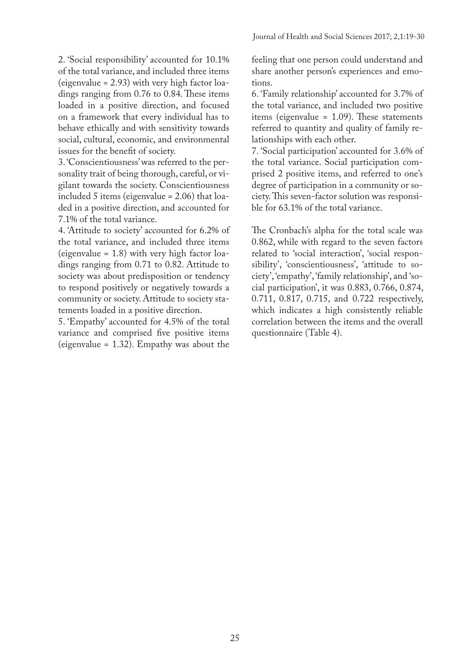2. 'Social responsibility' accounted for 10.1% of the total variance, and included three items (eigenvalue = 2.93) with very high factor loadings ranging from 0.76 to 0.84. These items loaded in a positive direction, and focused on a framework that every individual has to behave ethically and with sensitivity towards social, cultural, economic, and environmental issues for the benefit of society.

3. 'Conscientiousness' was referred to the personality trait of being thorough, careful, or vigilant towards the society. Conscientiousness included 5 items (eigenvalue = 2.06) that loaded in a positive direction, and accounted for 7.1% of the total variance.

4. 'Attitude to society' accounted for 6.2% of the total variance, and included three items (eigenvalue = 1.8) with very high factor loadings ranging from 0.71 to 0.82. Attitude to society was about predisposition or tendency to respond positively or negatively towards a community or society. Attitude to society statements loaded in a positive direction.

5. 'Empathy' accounted for 4.5% of the total variance and comprised five positive items (eigenvalue = 1.32). Empathy was about the

feeling that one person could understand and share another person's experiences and emotions.

6. 'Family relationship' accounted for 3.7% of the total variance, and included two positive items (eigenvalue = 1.09). These statements referred to quantity and quality of family relationships with each other.

7. 'Social participation' accounted for 3.6% of the total variance. Social participation comprised 2 positive items, and referred to one's degree of participation in a community or society. This seven-factor solution was responsible for 63.1% of the total variance.

The Cronbach's alpha for the total scale was 0.862, while with regard to the seven factors related to 'social interaction', 'social responsibility', 'conscientiousness', 'attitude to society', 'empathy', 'family relationship', and 'social participation', it was 0.883, 0.766, 0.874, 0.711, 0.817, 0.715, and 0.722 respectively, which indicates a high consistently reliable correlation between the items and the overall questionnaire (Table 4).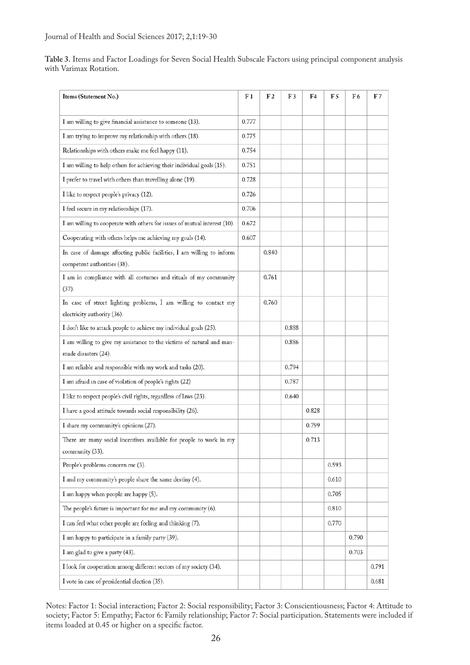| Table 3. Items and Factor Loadings for Seven Social Health Subscale Factors using principal component analysis |  |  |  |
|----------------------------------------------------------------------------------------------------------------|--|--|--|
| with Varimax Rotation.                                                                                         |  |  |  |

| Items (Statement No.)                                                                                | F <sub>1</sub> | F2    | F3    | F4    | F5    | F6    | F7    |
|------------------------------------------------------------------------------------------------------|----------------|-------|-------|-------|-------|-------|-------|
| I am willing to give financial assistance to someone (13).                                           | 0.777          |       |       |       |       |       |       |
| I am trying to improve my relationship with others (18).                                             | 0.775          |       |       |       |       |       |       |
| Relationships with others make me feel happy (11).                                                   | 0.754          |       |       |       |       |       |       |
| I am willing to help others for achieving their individual goals (15).                               | 0.751          |       |       |       |       |       |       |
| I prefer to travel with others than travelling alone (19).                                           | 0.728          |       |       |       |       |       |       |
| I like to respect people's privacy (12).                                                             | 0.726          |       |       |       |       |       |       |
| I feel secure in my relationships (17).                                                              | 0.706          |       |       |       |       |       |       |
| I am willing to cooperate with others for issues of mutual interest (10).                            | 0.672          |       |       |       |       |       |       |
| Cooperating with others helps me achieving my goals (14).                                            | 0.607          |       |       |       |       |       |       |
| In case of damage affecting public facilities, I am willing to inform<br>competent authorities (38). |                | 0.840 |       |       |       |       |       |
| I am in compliance with all costumes and rituals of my community<br>(37).                            |                | 0.761 |       |       |       |       |       |
| In case of street lighting problems, I am willing to contact my<br>electricity authority (36).       |                | 0.760 |       |       |       |       |       |
| I don't like to attack people to achieve my individual goals (25).                                   |                |       | 0.888 |       |       |       |       |
| I am willing to give my assistance to the victims of natural and man-<br>made disasters (24).        |                |       | 0.886 |       |       |       |       |
| I am reliable and responsible with my work and tasks (20).                                           |                |       | 0.794 |       |       |       |       |
| I am afraid in case of violation of people's rights (22)                                             |                |       | 0.787 |       |       |       |       |
| I like to respect people's civil rights, regardless of laws (23).                                    |                |       | 0.640 |       |       |       |       |
| I have a good attitude towards social responsibility (26).                                           |                |       |       | 0.828 |       |       |       |
| I share my community's opinions (27).                                                                |                |       |       | 0.799 |       |       |       |
| There are many social incentives available for people to work in my<br>community (33).               |                |       |       | 0.713 |       |       |       |
| People's problems concern me (3).                                                                    |                |       |       |       | 0.593 |       |       |
| I and my community's people share the same destiny (4).                                              |                |       |       |       | 0.610 |       |       |
| I am happy when people are happy (5).                                                                |                |       |       |       | 0.705 |       |       |
| The people's future is important for me and my community (6).                                        |                |       |       |       | 0.810 |       |       |
| I can feel what other people are feeling and thinking (7).                                           |                |       |       |       | 0.770 |       |       |
| I am happy to participate in a family party (39).                                                    |                |       |       |       |       | 0.790 |       |
| I am glad to give a party (43).                                                                      |                |       |       |       |       | 0.703 |       |
| I look for cooperation among different sectors of my society (34).                                   |                |       |       |       |       |       | 0.791 |
| I vote in case of presidential election (35).                                                        |                |       |       |       |       |       | 0.681 |

Notes: Factor 1: Social interaction; Factor 2: Social responsibility; Factor 3: Conscientiousness; Factor 4: Attitude to society; Factor 5: Empathy; Factor 6: Family relationship; Factor 7: Social participation. Statements were included if items loaded at 0.45 or higher on a specific factor.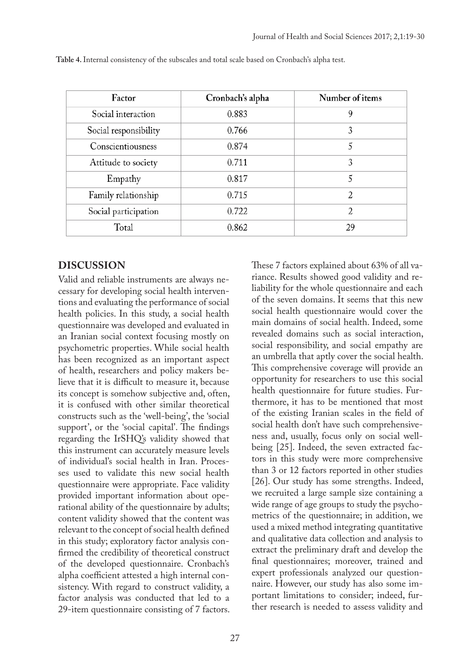| Factor                | Cronbach's alpha | Number of items |
|-----------------------|------------------|-----------------|
| Social interaction    | 0.883            | 9               |
| Social responsibility | 0.766            | 3               |
| Conscientiousness     | 0.874            | 5               |
| Attitude to society   | 0.711            | 3               |
| Empathy               | 0.817            | 5               |
| Family relationship   | 0.715            | $\overline{2}$  |
| Social participation  | 0.722            | 2               |
| Total                 | 0.862            | 29              |

**Table 4.** Internal consistency of the subscales and total scale based on Cronbach's alpha test.

## **DISCUSSION**

Valid and reliable instruments are always necessary for developing social health interventions and evaluating the performance of social health policies. In this study, a social health questionnaire was developed and evaluated in an Iranian social context focusing mostly on psychometric properties. While social health has been recognized as an important aspect of health, researchers and policy makers believe that it is difficult to measure it, because its concept is somehow subjective and, often, it is confused with other similar theoretical constructs such as the 'well-being', the 'social support', or the 'social capital'. The findings regarding the IrSHQ's validity showed that this instrument can accurately measure levels of individual's social health in Iran. Processes used to validate this new social health questionnaire were appropriate. Face validity provided important information about operational ability of the questionnaire by adults; content validity showed that the content was relevant to the concept of social health defined in this study; exploratory factor analysis confirmed the credibility of theoretical construct of the developed questionnaire. Cronbach's alpha coefficient attested a high internal consistency. With regard to construct validity, a factor analysis was conducted that led to a 29-item questionnaire consisting of 7 factors.

These 7 factors explained about 63% of all variance. Results showed good validity and reliability for the whole questionnaire and each of the seven domains. It seems that this new social health questionnaire would cover the main domains of social health. Indeed, some revealed domains such as social interaction, social responsibility, and social empathy are an umbrella that aptly cover the social health. This comprehensive coverage will provide an opportunity for researchers to use this social health questionnaire for future studies. Furthermore, it has to be mentioned that most of the existing Iranian scales in the field of social health don't have such comprehensiveness and, usually, focus only on social wellbeing [25]. Indeed, the seven extracted factors in this study were more comprehensive than 3 or 12 factors reported in other studies [26]. Our study has some strengths. Indeed, we recruited a large sample size containing a wide range of age groups to study the psychometrics of the questionnaire; in addition, we used a mixed method integrating quantitative and qualitative data collection and analysis to extract the preliminary draft and develop the final questionnaires; moreover, trained and expert professionals analyzed our questionnaire. However, our study has also some important limitations to consider; indeed, further research is needed to assess validity and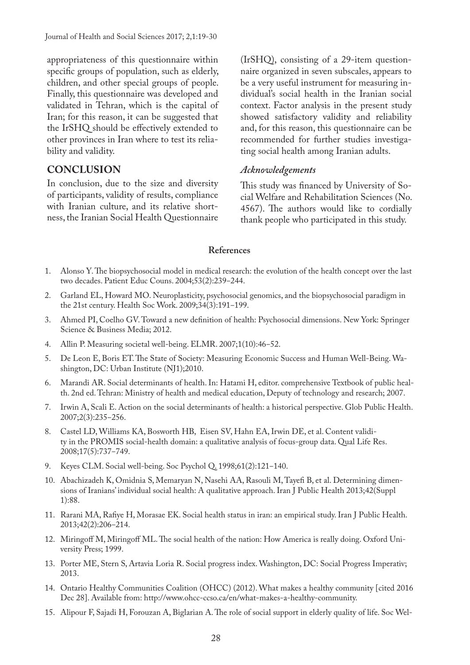appropriateness of this questionnaire within specific groups of population, such as elderly, children, and other special groups of people. Finally, this questionnaire was developed and validated in Tehran, which is the capital of Iran; for this reason, it can be suggested that the IrSHQ should be effectively extended to other provinces in Iran where to test its reliability and validity.

### **CONCLUSION**

In conclusion, due to the size and diversity of participants, validity of results, compliance with Iranian culture, and its relative shortness, the Iranian Social Health Questionnaire

(IrSHQ), consisting of a 29-item questionnaire organized in seven subscales, appears to be a very useful instrument for measuring individual's social health in the Iranian social context. Factor analysis in the present study showed satisfactory validity and reliability and, for this reason, this questionnaire can be recommended for further studies investigating social health among Iranian adults.

#### *Acknowledgements*

This study was financed by University of Social Welfare and Rehabilitation Sciences (No. 4567). The authors would like to cordially thank people who participated in this study.

#### **References**

- 1. Alonso Y. The biopsychosocial model in medical research: the evolution of the health concept over the last two decades. Patient Educ Couns. 2004;53(2):239-244.
- 2. Garland EL, Howard MO. Neuroplasticity, psychosocial genomics, and the biopsychosocial paradigm in the 21st century. Health Soc Work. 2009;34(3):191-199.
- 3. Ahmed PI, Coelho GV. Toward a new definition of health: Psychosocial dimensions. New York: Springer Science & Business Media; 2012.
- 4. Allin P. Measuring societal well-being. ELMR. 2007;1(10):46-52.
- 5. De Leon E, Boris ET. The State of Society: Measuring Economic Success and Human Well-Being. Washington, DC: Urban Institute (NJ1);2010.
- 6. Marandi AR. Social determinants of health. In: Hatami H, editor. comprehensive Textbook of public health. 2nd ed. Tehran: Ministry of health and medical education, Deputy of technology and research; 2007.
- 7. Irwin A, Scali E. Action on the social determinants of health: a historical perspective. Glob Public Health. 2007;2(3):235‒256.
- 8. Castel LD, Williams KA, Bosworth HB, Eisen SV, Hahn EA, Irwin DE, et al. Content validity in the PROMIS social-health domain: a qualitative analysis of focus-group data. Qual Life Res. 2008;17(5):737‒749.
- 9. Keyes CLM. Social well-being. Soc Psychol Q. 1998;61(2):121-140.
- 10. Abachizadeh K, Omidnia S, Memaryan N, Nasehi AA, Rasouli M, Tayefi B, et al. Determining dimensions of Iranians' individual social health: A qualitative approach. Iran J Public Health 2013;42(Suppl 1):88.
- 11. Rarani MA, Rafiye H, Morasae EK. Social health status in iran: an empirical study. Iran J Public Health. 2013;42(2):206‒214.
- 12. Miringoff M, Miringoff ML. The social health of the nation: How America is really doing. Oxford University Press; 1999.
- 13. Porter ME, Stern S, Artavia Loria R. Social progress index. Washington, DC: Social Progress Imperativ; 2013.
- 14. Ontario Healthy Communities Coalition (OHCC) (2012). What makes a healthy community [cited 2016 Dec 28]. Available from: http://www.ohcc-ccso.ca/en/what-makes-a-healthy-community.
- 15. Alipour F, Sajadi H, Forouzan A, Biglarian A. The role of social support in elderly quality of life. Soc Wel-